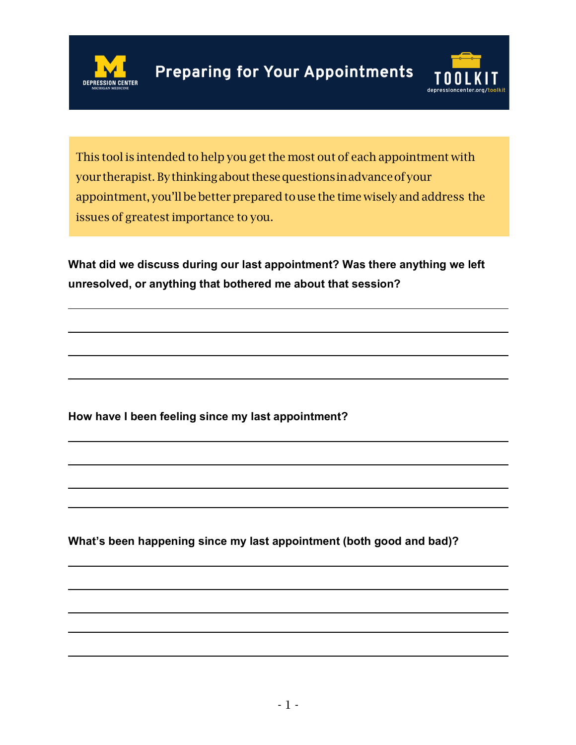



This tool is intended to help you get the most out of each appointment with your therapist. By thinking about these questions in advance of your appointment, you'll be better prepared to use the time wisely and address the issues of greatestimportance to you.

**What did we discuss during our last appointment? Was there anything we left unresolved, or anything that bothered me about that session?**

**How have I been feeling since my last appointment?**

**What's been happening since my last appointment (both good and bad)?**